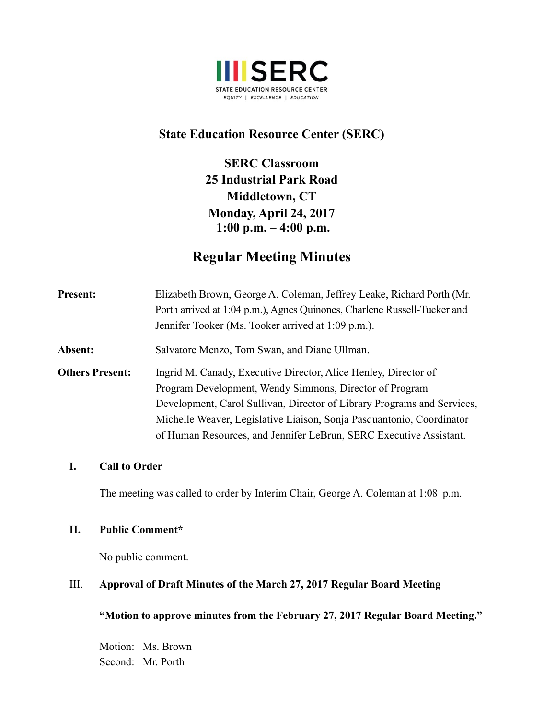

# **State Education Resource Center (SERC)**

**SERC Classroom 25 Industrial Park Road Middletown, CT Monday, April 24, 2017 1:00 p.m. – 4:00 p.m.**

# **Regular Meeting Minutes**

| <b>Present:</b>        | Elizabeth Brown, George A. Coleman, Jeffrey Leake, Richard Porth (Mr.<br>Porth arrived at 1:04 p.m.), Agnes Quinones, Charlene Russell-Tucker and<br>Jennifer Tooker (Ms. Tooker arrived at 1:09 p.m.).                                                                                                                                              |
|------------------------|------------------------------------------------------------------------------------------------------------------------------------------------------------------------------------------------------------------------------------------------------------------------------------------------------------------------------------------------------|
| Absent:                | Salvatore Menzo, Tom Swan, and Diane Ullman.                                                                                                                                                                                                                                                                                                         |
| <b>Others Present:</b> | Ingrid M. Canady, Executive Director, Alice Henley, Director of<br>Program Development, Wendy Simmons, Director of Program<br>Development, Carol Sullivan, Director of Library Programs and Services,<br>Michelle Weaver, Legislative Liaison, Sonja Pasquantonio, Coordinator<br>of Human Resources, and Jennifer LeBrun, SERC Executive Assistant. |

### **I. Call to Order**

The meeting was called to order by Interim Chair, George A. Coleman at 1:08 p.m.

#### **II. Public Comment\***

No public comment.

### III. **Approval of Draft Minutes of the March 27, 2017 Regular Board Meeting**

**"Motion to approve minutes from the February 27, 2017 Regular Board Meeting."** 

Motion: Ms. Brown Second: Mr. Porth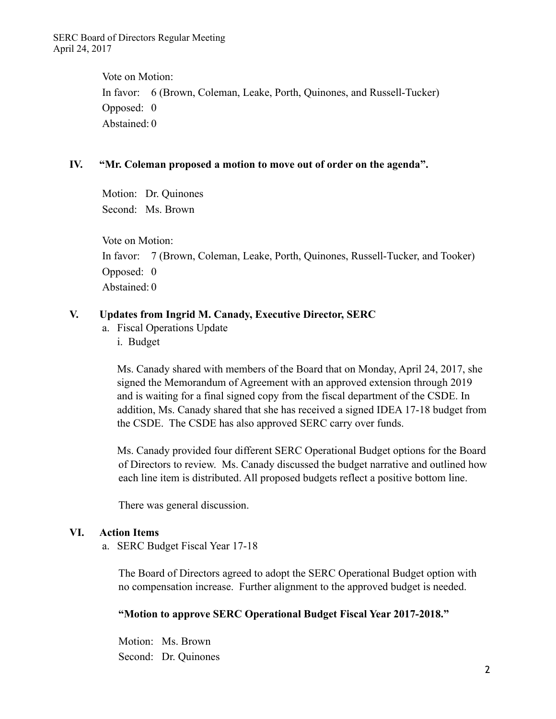Vote on Motion: In favor: 6 (Brown, Coleman, Leake, Porth, Quinones, and Russell-Tucker) Opposed: 0 Abstained: 0

#### **IV. "Mr. Coleman proposed a motion to move out of order on the agenda".**

Motion: Dr. Quinones Second: Ms. Brown

Vote on Motion: In favor: 7 (Brown, Coleman, Leake, Porth, Quinones, Russell-Tucker, and Tooker) Opposed: 0 Abstained: 0

### **V. Updates from Ingrid M. Canady, Executive Director, SERC**

- a. Fiscal Operations Update
	- i. Budget

Ms. Canady shared with members of the Board that on Monday, April 24, 2017, she signed the Memorandum of Agreement with an approved extension through 2019 and is waiting for a final signed copy from the fiscal department of the CSDE. In addition, Ms. Canady shared that she has received a signed IDEA 17-18 budget from the CSDE. The CSDE has also approved SERC carry over funds.

 Ms. Canady provided four different SERC Operational Budget options for the Board of Directors to review. Ms. Canady discussed the budget narrative and outlined how each line item is distributed. All proposed budgets reflect a positive bottom line.

There was general discussion.

### **VI. Action Items**

a. SERC Budget Fiscal Year 17-18

The Board of Directors agreed to adopt the SERC Operational Budget option with no compensation increase. Further alignment to the approved budget is needed.

### **"Motion to approve SERC Operational Budget Fiscal Year 2017-2018."**

Motion: Ms. Brown Second: Dr. Quinones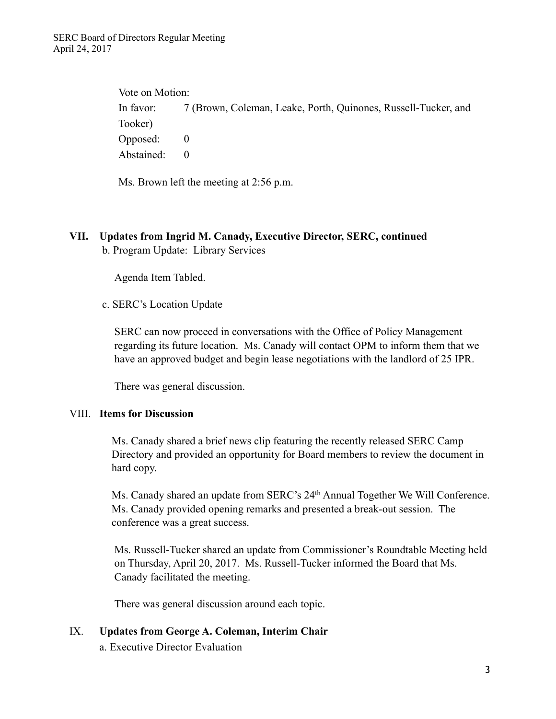Vote on Motion: In favor: 7 (Brown, Coleman, Leake, Porth, Quinones, Russell-Tucker, and Tooker) Opposed: 0 Abstained: 0

Ms. Brown left the meeting at 2:56 p.m.

# **VII. Updates from Ingrid M. Canady, Executive Director, SERC, continued**

b. Program Update: Library Services

Agenda Item Tabled.

c. SERC's Location Update

SERC can now proceed in conversations with the Office of Policy Management regarding its future location. Ms. Canady will contact OPM to inform them that we have an approved budget and begin lease negotiations with the landlord of 25 IPR.

There was general discussion.

#### VIII. **Items for Discussion**

Ms. Canady shared a brief news clip featuring the recently released SERC Camp Directory and provided an opportunity for Board members to review the document in hard copy.

Ms. Canady shared an update from SERC's 24th Annual Together We Will Conference. Ms. Canady provided opening remarks and presented a break-out session. The conference was a great success.

Ms. Russell-Tucker shared an update from Commissioner's Roundtable Meeting held on Thursday, April 20, 2017. Ms. Russell-Tucker informed the Board that Ms. Canady facilitated the meeting.

There was general discussion around each topic.

### IX. **Updates from George A. Coleman, Interim Chair**

a. Executive Director Evaluation